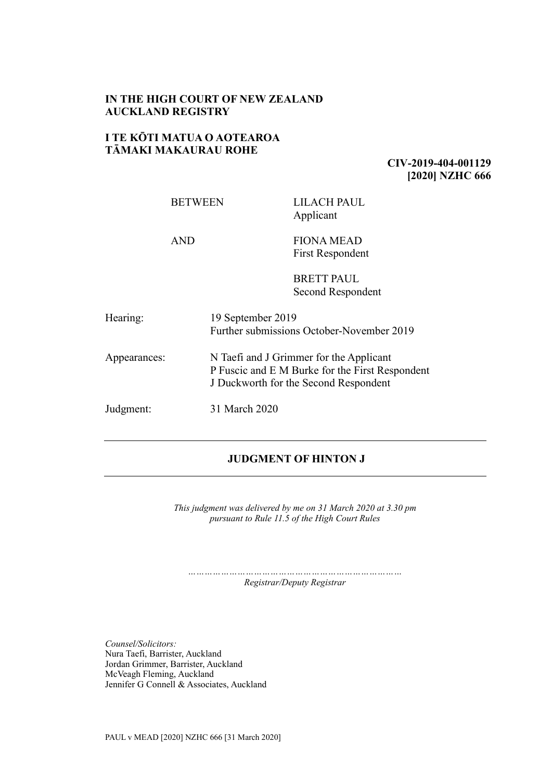# **IN THE HIGH COURT OF NEW ZEALAND AUCKLAND REGISTRY**

## **I TE KŌTI MATUA O AOTEAROA TĀMAKI MAKAURAU ROHE**

## **CIV-2019-404-001129 [2020] NZHC 666**

| <b>BETWEEN</b> |                                                                                                                                     | LILACH PAUL<br>Applicant                  |
|----------------|-------------------------------------------------------------------------------------------------------------------------------------|-------------------------------------------|
| <b>AND</b>     |                                                                                                                                     | <b>FIONA MEAD</b><br>First Respondent     |
|                |                                                                                                                                     | <b>BRETT PAUL</b><br>Second Respondent    |
| Hearing:       | 19 September 2019                                                                                                                   | Further submissions October-November 2019 |
| Appearances:   | N Taefi and J Grimmer for the Applicant<br>P Fuscic and E M Burke for the First Respondent<br>J Duckworth for the Second Respondent |                                           |
| Judgment:      | 31 March 2020                                                                                                                       |                                           |

## **JUDGMENT OF HINTON J**

*This judgment was delivered by me on 31 March 2020 at 3.30 pm pursuant to Rule 11.5 of the High Court Rules*

*…………………………………………………………………… Registrar/Deputy Registrar*

*Counsel/Solicitors:* Nura Taefi, Barrister, Auckland Jordan Grimmer, Barrister, Auckland McVeagh Fleming, Auckland Jennifer G Connell & Associates, Auckland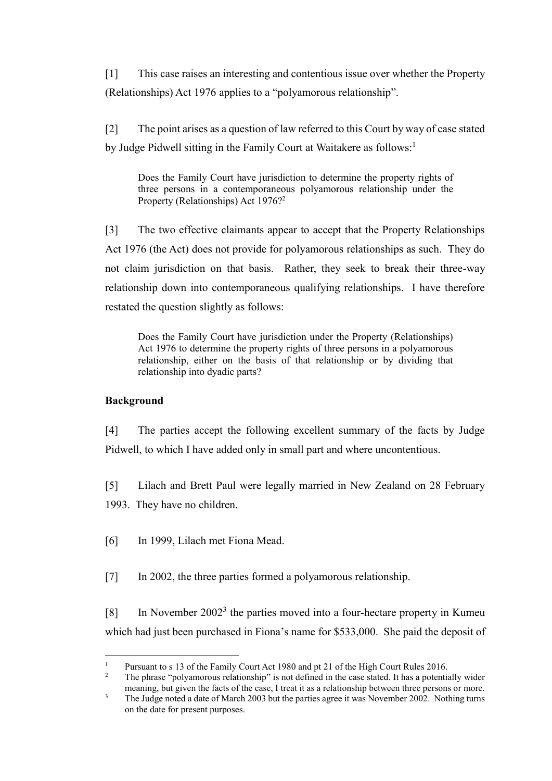[1] This case raises an interesting and contentious issue over whether the Property (Relationships) Act 1976 applies to a "polyamorous relationship".

[2] The point arises as a question of law referred to this Court by way of case stated by Judge Pidwell sitting in the Family Court at Waitakere as follows:<sup>1</sup>

Does the Family Court have jurisdiction to determine the property rights of three persons in a contemporaneous polyamorous relationship under the Property (Relationships) Act 1976? 2

[3] The two effective claimants appear to accept that the Property Relationships Act 1976 (the Act) does not provide for polyamorous relationships as such. They do not claim jurisdiction on that basis. Rather, they seek to break their three-way relationship down into contemporaneous qualifying relationships. I have therefore restated the question slightly as follows:

Does the Family Court have jurisdiction under the Property (Relationships) Act 1976 to determine the property rights of three persons in a polyamorous relationship, either on the basis of that relationship or by dividing that relationship into dyadic parts?

# **Background**

[4] The parties accept the following excellent summary of the facts by Judge Pidwell, to which I have added only in small part and where uncontentious.

[5] Lilach and Brett Paul were legally married in New Zealand on 28 February 1993. They have no children.

[6] In 1999, Lilach met Fiona Mead.

[7] In 2002, the three parties formed a polyamorous relationship.

[8] In November  $2002<sup>3</sup>$  the parties moved into a four-hectare property in Kumeu which had just been purchased in Fiona's name for \$533,000. She paid the deposit of

 $\overline{a}$ <sup>1</sup> Pursuant to s 13 of the Family Court Act 1980 and pt 21 of the High Court Rules 2016.<br><sup>2</sup> The phrase "polygmarous relationship" is not defined in the assessment of these postential

The phrase "polyamorous relationship" is not defined in the case stated. It has a potentially wider meaning, but given the facts of the case, I treat it as a relationship between three persons or more.

<sup>&</sup>lt;sup>3</sup> The Judge noted a date of March 2003 but the parties agree it was November 2002. Nothing turns on the date for present purposes.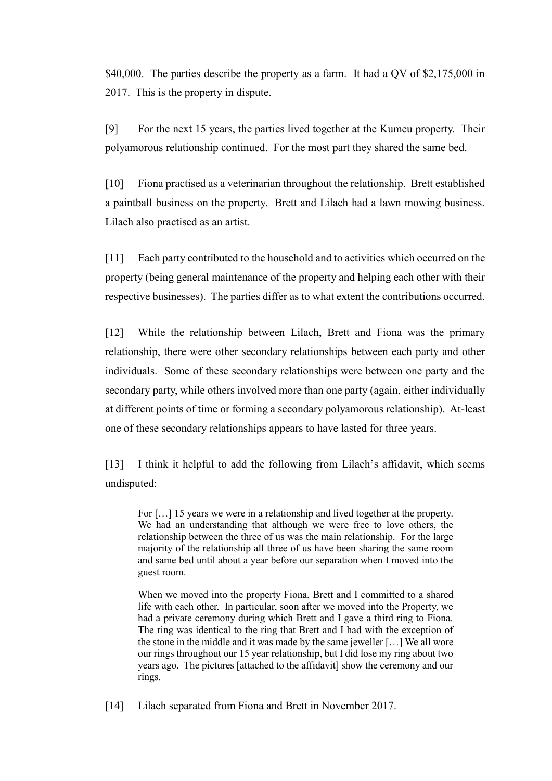\$40,000. The parties describe the property as a farm. It had a QV of \$2,175,000 in 2017. This is the property in dispute.

[9] For the next 15 years, the parties lived together at the Kumeu property. Their polyamorous relationship continued. For the most part they shared the same bed.

[10] Fiona practised as a veterinarian throughout the relationship. Brett established a paintball business on the property. Brett and Lilach had a lawn mowing business. Lilach also practised as an artist.

[11] Each party contributed to the household and to activities which occurred on the property (being general maintenance of the property and helping each other with their respective businesses). The parties differ as to what extent the contributions occurred.

[12] While the relationship between Lilach, Brett and Fiona was the primary relationship, there were other secondary relationships between each party and other individuals. Some of these secondary relationships were between one party and the secondary party, while others involved more than one party (again, either individually at different points of time or forming a secondary polyamorous relationship). At-least one of these secondary relationships appears to have lasted for three years.

[13] I think it helpful to add the following from Lilach's affidavit, which seems undisputed:

For [...] 15 years we were in a relationship and lived together at the property. We had an understanding that although we were free to love others, the relationship between the three of us was the main relationship. For the large majority of the relationship all three of us have been sharing the same room and same bed until about a year before our separation when I moved into the guest room.

When we moved into the property Fiona, Brett and I committed to a shared life with each other. In particular, soon after we moved into the Property, we had a private ceremony during which Brett and I gave a third ring to Fiona. The ring was identical to the ring that Brett and I had with the exception of the stone in the middle and it was made by the same jeweller […] We all wore our rings throughout our 15 year relationship, but I did lose my ring about two years ago. The pictures [attached to the affidavit] show the ceremony and our rings.

[14] Lilach separated from Fiona and Brett in November 2017.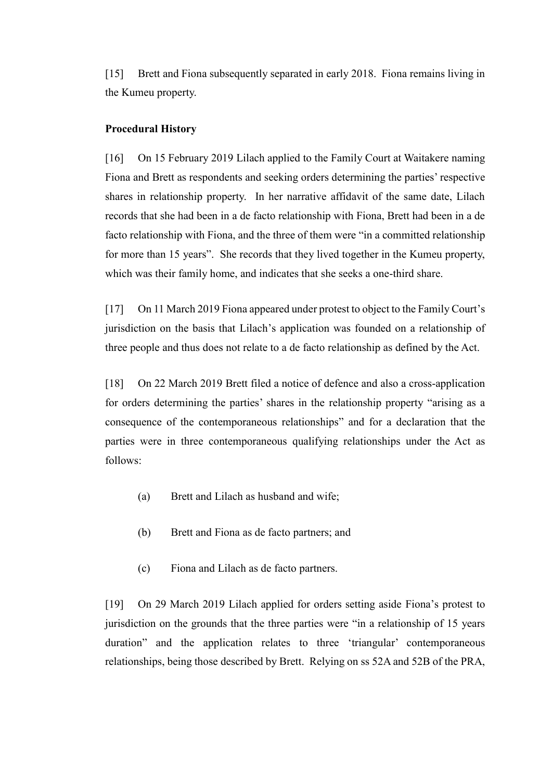[15] Brett and Fiona subsequently separated in early 2018. Fiona remains living in the Kumeu property.

#### **Procedural History**

[16] On 15 February 2019 Lilach applied to the Family Court at Waitakere naming Fiona and Brett as respondents and seeking orders determining the parties' respective shares in relationship property. In her narrative affidavit of the same date, Lilach records that she had been in a de facto relationship with Fiona, Brett had been in a de facto relationship with Fiona, and the three of them were "in a committed relationship for more than 15 years". She records that they lived together in the Kumeu property, which was their family home, and indicates that she seeks a one-third share.

[17] On 11 March 2019 Fiona appeared under protest to object to the Family Court's jurisdiction on the basis that Lilach's application was founded on a relationship of three people and thus does not relate to a de facto relationship as defined by the Act.

[18] On 22 March 2019 Brett filed a notice of defence and also a cross-application for orders determining the parties' shares in the relationship property "arising as a consequence of the contemporaneous relationships" and for a declaration that the parties were in three contemporaneous qualifying relationships under the Act as follows:

- (a) Brett and Lilach as husband and wife;
- (b) Brett and Fiona as de facto partners; and
- (c) Fiona and Lilach as de facto partners.

[19] On 29 March 2019 Lilach applied for orders setting aside Fiona's protest to jurisdiction on the grounds that the three parties were "in a relationship of 15 years duration" and the application relates to three 'triangular' contemporaneous relationships, being those described by Brett. Relying on ss 52A and 52B of the PRA,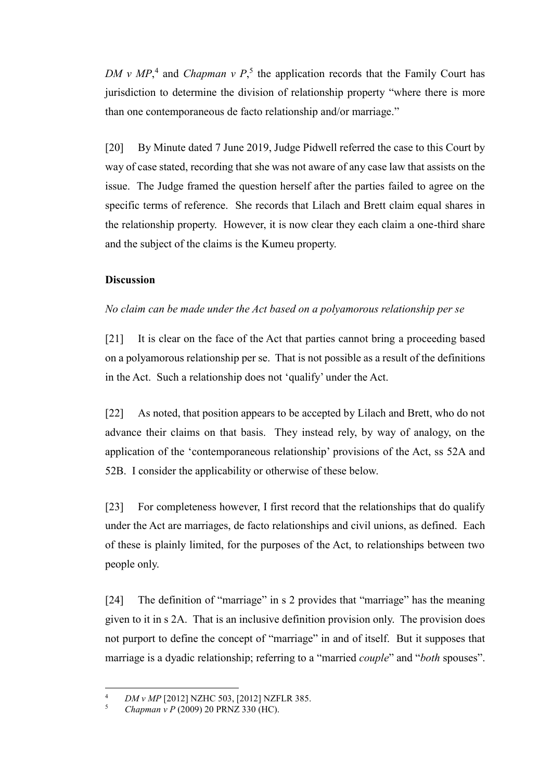*DM v*  $MP$ <sup>4</sup>, and *Chapman v P*<sup>5</sup>, the application records that the Family Court has jurisdiction to determine the division of relationship property "where there is more than one contemporaneous de facto relationship and/or marriage."

[20] By Minute dated 7 June 2019, Judge Pidwell referred the case to this Court by way of case stated, recording that she was not aware of any case law that assists on the issue. The Judge framed the question herself after the parties failed to agree on the specific terms of reference. She records that Lilach and Brett claim equal shares in the relationship property. However, it is now clear they each claim a one-third share and the subject of the claims is the Kumeu property.

## **Discussion**

## *No claim can be made under the Act based on a polyamorous relationship per se*

[21] It is clear on the face of the Act that parties cannot bring a proceeding based on a polyamorous relationship per se. That is not possible as a result of the definitions in the Act. Such a relationship does not 'qualify' under the Act.

[22] As noted, that position appears to be accepted by Lilach and Brett, who do not advance their claims on that basis. They instead rely, by way of analogy, on the application of the 'contemporaneous relationship' provisions of the Act, ss 52A and 52B. I consider the applicability or otherwise of these below.

[23] For completeness however, I first record that the relationships that do qualify under the Act are marriages, de facto relationships and civil unions, as defined. Each of these is plainly limited, for the purposes of the Act, to relationships between two people only.

[24] The definition of "marriage" in s 2 provides that "marriage" has the meaning given to it in s 2A. That is an inclusive definition provision only. The provision does not purport to define the concept of "marriage" in and of itself. But it supposes that marriage is a dyadic relationship; referring to a "married *couple*" and "*both* spouses".

 $\overline{4}$ <sup>4</sup> *DM v MP* [2012] NZHC 503, [2012] NZFLR 385.<br> *S Chapman v P (2009) 20 PRNZ* 330 (HC)

<sup>5</sup> *Chapman v P* (2009) 20 PRNZ 330 (HC).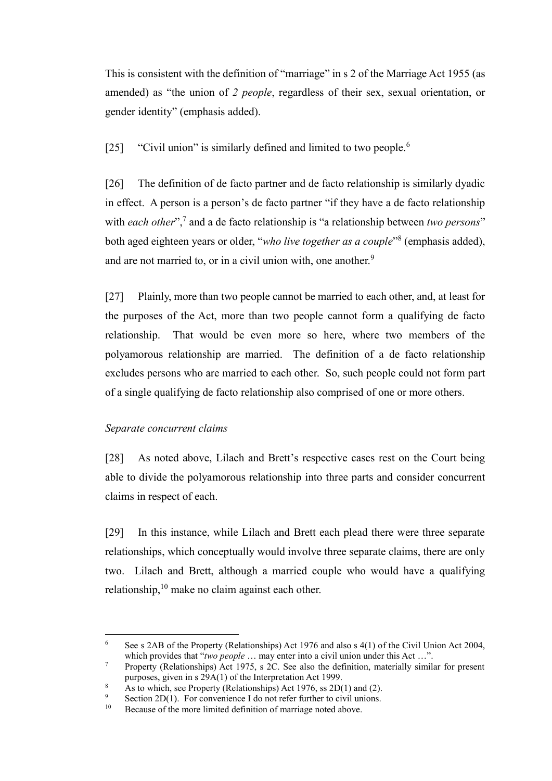This is consistent with the definition of "marriage" in s 2 of the Marriage Act 1955 (as amended) as "the union of *2 people*, regardless of their sex, sexual orientation, or gender identity" (emphasis added).

[25] "Civil union" is similarly defined and limited to two people.<sup>6</sup>

[26] The definition of de facto partner and de facto relationship is similarly dyadic in effect. A person is a person's de facto partner "if they have a de facto relationship with *each other*",<sup>7</sup> and a de facto relationship is "a relationship between *two persons*" both aged eighteen years or older, "*who live together as a couple*" 8 (emphasis added), and are not married to, or in a civil union with, one another.<sup>9</sup>

[27] Plainly, more than two people cannot be married to each other, and, at least for the purposes of the Act, more than two people cannot form a qualifying de facto relationship. That would be even more so here, where two members of the polyamorous relationship are married. The definition of a de facto relationship excludes persons who are married to each other. So, such people could not form part of a single qualifying de facto relationship also comprised of one or more others.

## *Separate concurrent claims*

 $\overline{a}$ 

[28] As noted above, Lilach and Brett's respective cases rest on the Court being able to divide the polyamorous relationship into three parts and consider concurrent claims in respect of each.

[29] In this instance, while Lilach and Brett each plead there were three separate relationships, which conceptually would involve three separate claims, there are only two. Lilach and Brett, although a married couple who would have a qualifying relationship, $10$  make no claim against each other.

<sup>6</sup> See s 2AB of the Property (Relationships) Act 1976 and also s 4(1) of the Civil Union Act 2004, which provides that "*two people* ... may enter into a civil union under this Act ...".

<sup>&</sup>lt;sup>7</sup> Property (Relationships) Act 1975, s 2C. See also the definition, materially similar for present purposes, given in s 29A(1) of the Interpretation Act 1999.

As to which, see Property (Relationships) Act 1976, ss 2D(1) and (2).

<sup>9</sup> Section 2D(1). For convenience I do not refer further to civil unions.<br><sup>10</sup> Because of the more limited definition of marriage noted above

Because of the more limited definition of marriage noted above.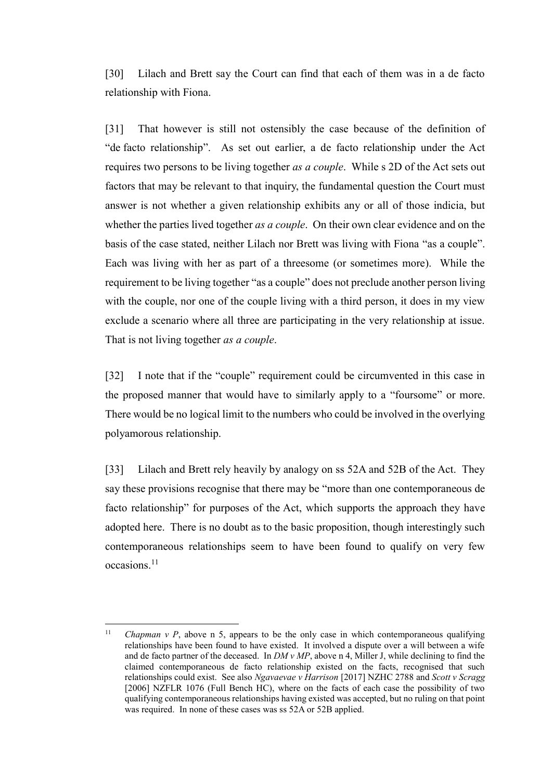[30] Lilach and Brett say the Court can find that each of them was in a de facto relationship with Fiona.

[31] That however is still not ostensibly the case because of the definition of "de facto relationship". As set out earlier, a de facto relationship under the Act requires two persons to be living together *as a couple*. While s 2D of the Act sets out factors that may be relevant to that inquiry, the fundamental question the Court must answer is not whether a given relationship exhibits any or all of those indicia, but whether the parties lived together *as a couple*. On their own clear evidence and on the basis of the case stated, neither Lilach nor Brett was living with Fiona "as a couple". Each was living with her as part of a threesome (or sometimes more). While the requirement to be living together "as a couple" does not preclude another person living with the couple, nor one of the couple living with a third person, it does in my view exclude a scenario where all three are participating in the very relationship at issue. That is not living together *as a couple*.

[32] I note that if the "couple" requirement could be circumvented in this case in the proposed manner that would have to similarly apply to a "foursome" or more. There would be no logical limit to the numbers who could be involved in the overlying polyamorous relationship.

[33] Lilach and Brett rely heavily by analogy on ss 52A and 52B of the Act. They say these provisions recognise that there may be "more than one contemporaneous de facto relationship" for purposes of the Act, which supports the approach they have adopted here. There is no doubt as to the basic proposition, though interestingly such contemporaneous relationships seem to have been found to qualify on very few occasions.<sup>11</sup>

<sup>&</sup>lt;sup>11</sup> *Chapman v P*, above n 5, appears to be the only case in which contemporaneous qualifying relationships have been found to have existed. It involved a dispute over a will between a wife and de facto partner of the deceased. In *DM v MP*, above n 4, Miller J, while declining to find the claimed contemporaneous de facto relationship existed on the facts, recognised that such relationships could exist. See also *Ngavaevae v Harrison* [2017] NZHC 2788 and *Scott v Scragg*  [2006] NZFLR 1076 (Full Bench HC), where on the facts of each case the possibility of two qualifying contemporaneous relationships having existed was accepted, but no ruling on that point was required. In none of these cases was ss 52A or 52B applied.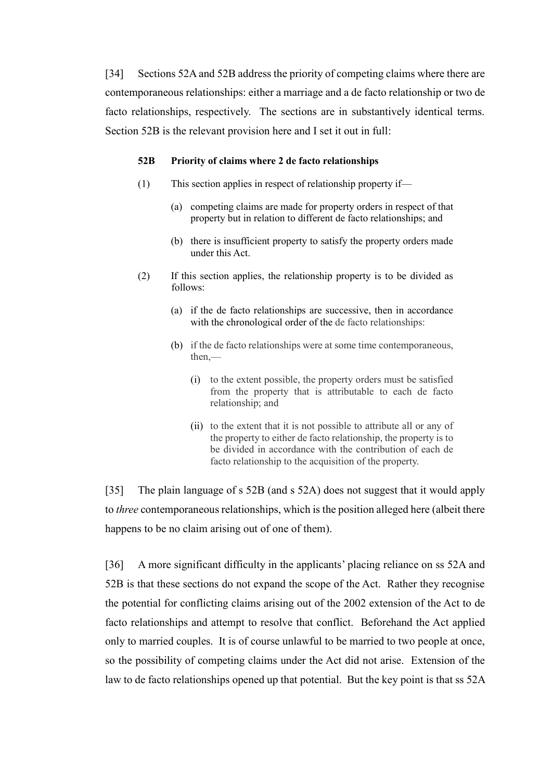[34] Sections 52A and 52B address the priority of competing claims where there are contemporaneous relationships: either a marriage and a de facto relationship or two de facto relationships, respectively. The sections are in substantively identical terms. Section 52B is the relevant provision here and I set it out in full:

#### **52B Priority of claims where 2 de facto relationships**

- (1) This section applies in respect of relationship property if—
	- (a) competing claims are made for property orders in respect of that property but in relation to different de facto relationships; and
	- (b) there is insufficient property to satisfy the property orders made under this Act.
- (2) If this section applies, the relationship property is to be divided as follows:
	- (a) if the de facto relationships are successive, then in accordance with the chronological order of the de facto relationships:
	- (b) if the de facto relationships were at some time contemporaneous, then,—
		- (i) to the extent possible, the property orders must be satisfied from the property that is attributable to each de facto relationship; and
		- (ii) to the extent that it is not possible to attribute all or any of the property to either de facto relationship, the property is to be divided in accordance with the contribution of each de facto relationship to the acquisition of the property.

[35] The plain language of s 52B (and s 52A) does not suggest that it would apply to *three* contemporaneous relationships, which is the position alleged here (albeit there happens to be no claim arising out of one of them).

[36] A more significant difficulty in the applicants' placing reliance on ss 52A and 52B is that these sections do not expand the scope of the Act. Rather they recognise the potential for conflicting claims arising out of the 2002 extension of the Act to de facto relationships and attempt to resolve that conflict. Beforehand the Act applied only to married couples. It is of course unlawful to be married to two people at once, so the possibility of competing claims under the Act did not arise. Extension of the law to de facto relationships opened up that potential. But the key point is that ss 52A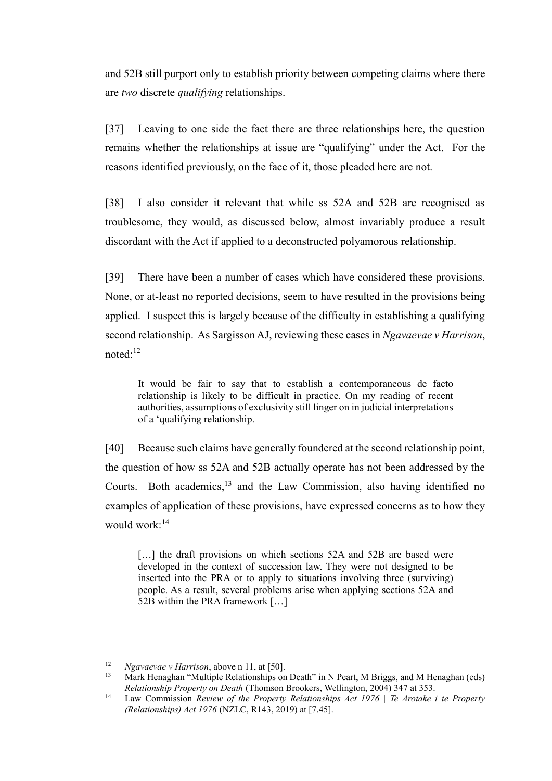and 52B still purport only to establish priority between competing claims where there are *two* discrete *qualifying* relationships.

[37] Leaving to one side the fact there are three relationships here, the question remains whether the relationships at issue are "qualifying" under the Act. For the reasons identified previously, on the face of it, those pleaded here are not.

[38] I also consider it relevant that while ss 52A and 52B are recognised as troublesome, they would, as discussed below, almost invariably produce a result discordant with the Act if applied to a deconstructed polyamorous relationship.

[39] There have been a number of cases which have considered these provisions. None, or at-least no reported decisions, seem to have resulted in the provisions being applied. I suspect this is largely because of the difficulty in establishing a qualifying second relationship. As Sargisson AJ, reviewing these cases in *Ngavaevae v Harrison*, noted:<sup>12</sup>

It would be fair to say that to establish a contemporaneous de facto relationship is likely to be difficult in practice. On my reading of recent authorities, assumptions of exclusivity still linger on in judicial interpretations of a 'qualifying relationship.

[40] Because such claims have generally foundered at the second relationship point, the question of how ss 52A and 52B actually operate has not been addressed by the Courts. Both academics,<sup>13</sup> and the Law Commission, also having identified no examples of application of these provisions, have expressed concerns as to how they would work:<sup>14</sup>

[...] the draft provisions on which sections 52A and 52B are based were developed in the context of succession law. They were not designed to be inserted into the PRA or to apply to situations involving three (surviving) people. As a result, several problems arise when applying sections 52A and 52B within the PRA framework […]

 $12$ <sup>12</sup> *Ngavaevae v Harrison*, above n 11, at [50].

<sup>&</sup>lt;sup>13</sup> Mark Henaghan "Multiple Relationships on Death" in N Peart, M Briggs, and M Henaghan (eds) *Relationship Property on Death* (Thomson Brookers, Wellington, 2004) 347 at 353.

<sup>14</sup> Law Commission *Review of the Property Relationships Act 1976 | Te Arotake i te Property (Relationships) Act 1976* (NZLC, R143, 2019) at [7.45].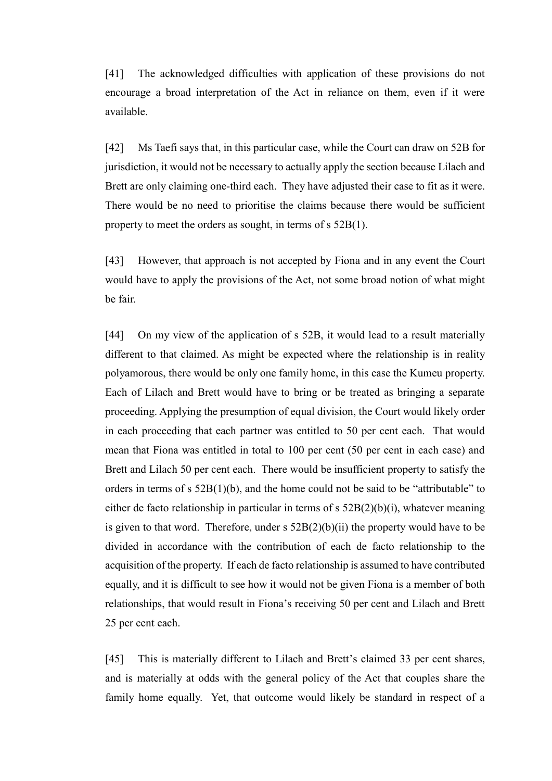[41] The acknowledged difficulties with application of these provisions do not encourage a broad interpretation of the Act in reliance on them, even if it were available.

[42] Ms Taefi says that, in this particular case, while the Court can draw on 52B for jurisdiction, it would not be necessary to actually apply the section because Lilach and Brett are only claiming one-third each. They have adjusted their case to fit as it were. There would be no need to prioritise the claims because there would be sufficient property to meet the orders as sought, in terms of s 52B(1).

[43] However, that approach is not accepted by Fiona and in any event the Court would have to apply the provisions of the Act, not some broad notion of what might be fair.

[44] On my view of the application of s 52B, it would lead to a result materially different to that claimed. As might be expected where the relationship is in reality polyamorous, there would be only one family home, in this case the Kumeu property. Each of Lilach and Brett would have to bring or be treated as bringing a separate proceeding. Applying the presumption of equal division, the Court would likely order in each proceeding that each partner was entitled to 50 per cent each. That would mean that Fiona was entitled in total to 100 per cent (50 per cent in each case) and Brett and Lilach 50 per cent each. There would be insufficient property to satisfy the orders in terms of s 52B(1)(b), and the home could not be said to be "attributable" to either de facto relationship in particular in terms of s 52B(2)(b)(i), whatever meaning is given to that word. Therefore, under  $s$  52B(2)(b)(ii) the property would have to be divided in accordance with the contribution of each de facto relationship to the acquisition of the property. If each de facto relationship is assumed to have contributed equally, and it is difficult to see how it would not be given Fiona is a member of both relationships, that would result in Fiona's receiving 50 per cent and Lilach and Brett 25 per cent each.

[45] This is materially different to Lilach and Brett's claimed 33 per cent shares, and is materially at odds with the general policy of the Act that couples share the family home equally. Yet, that outcome would likely be standard in respect of a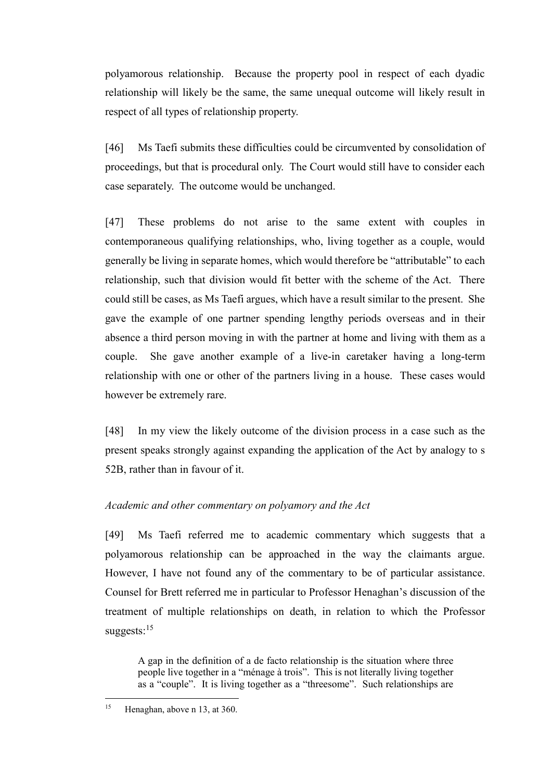polyamorous relationship. Because the property pool in respect of each dyadic relationship will likely be the same, the same unequal outcome will likely result in respect of all types of relationship property.

[46] Ms Taefi submits these difficulties could be circumvented by consolidation of proceedings, but that is procedural only. The Court would still have to consider each case separately. The outcome would be unchanged.

[47] These problems do not arise to the same extent with couples in contemporaneous qualifying relationships, who, living together as a couple, would generally be living in separate homes, which would therefore be "attributable" to each relationship, such that division would fit better with the scheme of the Act. There could still be cases, as Ms Taefi argues, which have a result similar to the present. She gave the example of one partner spending lengthy periods overseas and in their absence a third person moving in with the partner at home and living with them as a couple. She gave another example of a live-in caretaker having a long-term relationship with one or other of the partners living in a house. These cases would however be extremely rare.

[48] In my view the likely outcome of the division process in a case such as the present speaks strongly against expanding the application of the Act by analogy to s 52B, rather than in favour of it.

# *Academic and other commentary on polyamory and the Act*

[49] Ms Taefi referred me to academic commentary which suggests that a polyamorous relationship can be approached in the way the claimants argue. However, I have not found any of the commentary to be of particular assistance. Counsel for Brett referred me in particular to Professor Henaghan's discussion of the treatment of multiple relationships on death, in relation to which the Professor suggests: $15$ 

A gap in the definition of a de facto relationship is the situation where three people live together in a "ménage à trois". This is not literally living together as a "couple". It is living together as a "threesome". Such relationships are

<sup>15</sup> Henaghan, above n 13, at 360.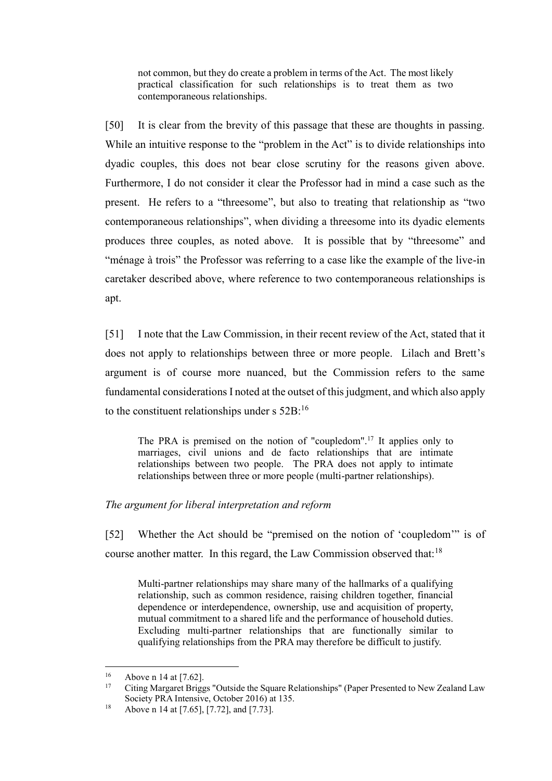not common, but they do create a problem in terms of the Act. The most likely practical classification for such relationships is to treat them as two contemporaneous relationships.

[50] It is clear from the brevity of this passage that these are thoughts in passing. While an intuitive response to the "problem in the Act" is to divide relationships into dyadic couples, this does not bear close scrutiny for the reasons given above. Furthermore, I do not consider it clear the Professor had in mind a case such as the present. He refers to a "threesome", but also to treating that relationship as "two contemporaneous relationships", when dividing a threesome into its dyadic elements produces three couples, as noted above. It is possible that by "threesome" and "ménage à trois" the Professor was referring to a case like the example of the live-in caretaker described above, where reference to two contemporaneous relationships is apt.

[51] I note that the Law Commission, in their recent review of the Act, stated that it does not apply to relationships between three or more people. Lilach and Brett's argument is of course more nuanced, but the Commission refers to the same fundamental considerations I noted at the outset of this judgment, and which also apply to the constituent relationships under s  $52B$ :<sup>16</sup>

The PRA is premised on the notion of "coupledom".<sup>17</sup> It applies only to marriages, civil unions and de facto relationships that are intimate relationships between two people. The PRA does not apply to intimate relationships between three or more people (multi-partner relationships).

## *The argument for liberal interpretation and reform*

[52] Whether the Act should be "premised on the notion of 'coupledom'" is of course another matter. In this regard, the Law Commission observed that:<sup>18</sup>

Multi-partner relationships may share many of the hallmarks of a qualifying relationship, such as common residence, raising children together, financial dependence or interdependence, ownership, use and acquisition of property, mutual commitment to a shared life and the performance of household duties. Excluding multi-partner relationships that are functionally similar to qualifying relationships from the PRA may therefore be difficult to justify.

<sup>&</sup>lt;sup>16</sup> Above n 14 at [7.62].

<sup>17</sup> Citing Margaret Briggs "Outside the Square Relationships" (Paper Presented to New Zealand Law Society PRA Intensive, October 2016) at 135.

<sup>&</sup>lt;sup>18</sup> Above n 14 at [7.65], [7.72], and [7.73].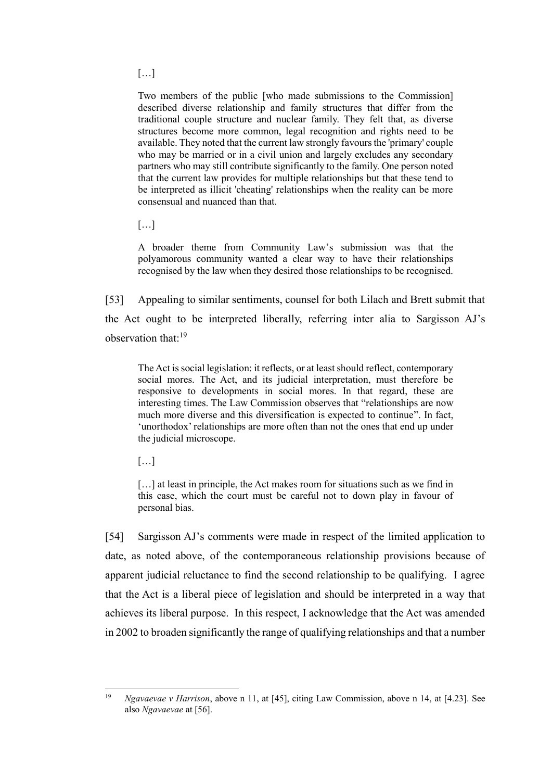$[...]$ 

Two members of the public [who made submissions to the Commission] described diverse relationship and family structures that differ from the traditional couple structure and nuclear family. They felt that, as diverse structures become more common, legal recognition and rights need to be available. They noted that the current law strongly favours the 'primary' couple who may be married or in a civil union and largely excludes any secondary partners who may still contribute significantly to the family. One person noted that the current law provides for multiple relationships but that these tend to be interpreted as illicit 'cheating' relationships when the reality can be more consensual and nuanced than that.

[…]

A broader theme from Community Law's submission was that the polyamorous community wanted a clear way to have their relationships recognised by the law when they desired those relationships to be recognised.

[53] Appealing to similar sentiments, counsel for both Lilach and Brett submit that the Act ought to be interpreted liberally, referring inter alia to Sargisson AJ's observation that: 19

The Act is social legislation: it reflects, or at least should reflect, contemporary social mores. The Act, and its judicial interpretation, must therefore be responsive to developments in social mores. In that regard, these are interesting times. The Law Commission observes that "relationships are now much more diverse and this diversification is expected to continue". In fact, 'unorthodox' relationships are more often than not the ones that end up under the judicial microscope.

[…]

[...] at least in principle, the Act makes room for situations such as we find in this case, which the court must be careful not to down play in favour of personal bias.

[54] Sargisson AJ's comments were made in respect of the limited application to date, as noted above, of the contemporaneous relationship provisions because of apparent judicial reluctance to find the second relationship to be qualifying. I agree that the Act is a liberal piece of legislation and should be interpreted in a way that achieves its liberal purpose. In this respect, I acknowledge that the Act was amended in 2002 to broaden significantly the range of qualifying relationships and that a number

 $19$ <sup>19</sup> *Ngavaevae v Harrison*, above n 11, at [45], citing Law Commission, above n 14, at [4.23]. See also *Ngavaevae* at [56].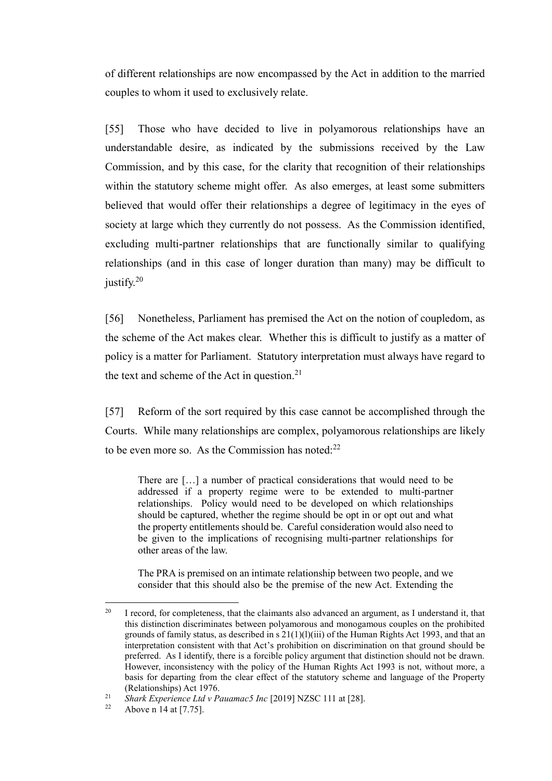of different relationships are now encompassed by the Act in addition to the married couples to whom it used to exclusively relate.

[55] Those who have decided to live in polyamorous relationships have an understandable desire, as indicated by the submissions received by the Law Commission, and by this case, for the clarity that recognition of their relationships within the statutory scheme might offer. As also emerges, at least some submitters believed that would offer their relationships a degree of legitimacy in the eyes of society at large which they currently do not possess. As the Commission identified, excluding multi-partner relationships that are functionally similar to qualifying relationships (and in this case of longer duration than many) may be difficult to justify.<sup>20</sup>

[56] Nonetheless, Parliament has premised the Act on the notion of coupledom, as the scheme of the Act makes clear. Whether this is difficult to justify as a matter of policy is a matter for Parliament. Statutory interpretation must always have regard to the text and scheme of the Act in question.<sup>21</sup>

[57] Reform of the sort required by this case cannot be accomplished through the Courts. While many relationships are complex, polyamorous relationships are likely to be even more so. As the Commission has noted: $22$ 

There are […] a number of practical considerations that would need to be addressed if a property regime were to be extended to multi-partner relationships. Policy would need to be developed on which relationships should be captured, whether the regime should be opt in or opt out and what the property entitlements should be. Careful consideration would also need to be given to the implications of recognising multi-partner relationships for other areas of the law.

The PRA is premised on an intimate relationship between two people, and we consider that this should also be the premise of the new Act. Extending the

<sup>&</sup>lt;sup>20</sup> I record, for completeness, that the claimants also advanced an argument, as I understand it, that this distinction discriminates between polyamorous and monogamous couples on the prohibited grounds of family status, as described in  $s$  21(1)(1)(iii) of the Human Rights Act 1993, and that an interpretation consistent with that Act's prohibition on discrimination on that ground should be preferred. As I identify, there is a forcible policy argument that distinction should not be drawn. However, inconsistency with the policy of the Human Rights Act 1993 is not, without more, a basis for departing from the clear effect of the statutory scheme and language of the Property (Relationships) Act 1976.

<sup>&</sup>lt;sup>21</sup> *Shark Experience Ltd v Pauamac5 Inc* [2019] NZSC 111 at [28].

Above n 14 at  $[7.75]$ .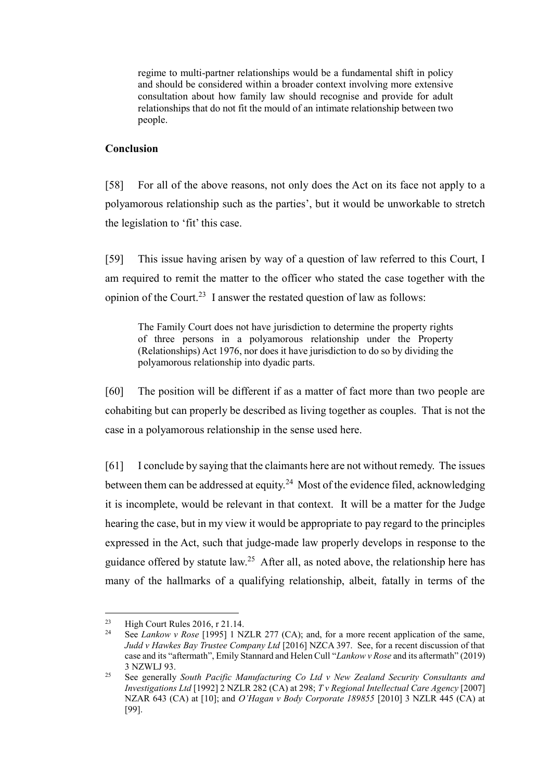regime to multi-partner relationships would be a fundamental shift in policy and should be considered within a broader context involving more extensive consultation about how family law should recognise and provide for adult relationships that do not fit the mould of an intimate relationship between two people.

## **Conclusion**

[58] For all of the above reasons, not only does the Act on its face not apply to a polyamorous relationship such as the parties', but it would be unworkable to stretch the legislation to 'fit' this case.

[59] This issue having arisen by way of a question of law referred to this Court, I am required to remit the matter to the officer who stated the case together with the opinion of the Court.<sup>23</sup> I answer the restated question of law as follows:

The Family Court does not have jurisdiction to determine the property rights of three persons in a polyamorous relationship under the Property (Relationships) Act 1976, nor does it have jurisdiction to do so by dividing the polyamorous relationship into dyadic parts.

[60] The position will be different if as a matter of fact more than two people are cohabiting but can properly be described as living together as couples. That is not the case in a polyamorous relationship in the sense used here.

[61] I conclude by saying that the claimants here are not without remedy. The issues between them can be addressed at equity.<sup>24</sup> Most of the evidence filed, acknowledging it is incomplete, would be relevant in that context. It will be a matter for the Judge hearing the case, but in my view it would be appropriate to pay regard to the principles expressed in the Act, such that judge-made law properly develops in response to the guidance offered by statute  $law<sup>25</sup>$  After all, as noted above, the relationship here has many of the hallmarks of a qualifying relationship, albeit, fatally in terms of the

<sup>&</sup>lt;sup>23</sup> High Court Rules 2016, r 21.14.<br><sup>24</sup> See Lankow v *Pose* [1005] 1 N'

See *Lankow v Rose* [1995] 1 NZLR 277 (CA); and, for a more recent application of the same, *Judd v Hawkes Bay Trustee Company Ltd* [2016] NZCA 397. See, for a recent discussion of that case and its "aftermath", Emily Stannard and Helen Cull "*Lankow v Rose* and its aftermath" (2019) 3 NZWLJ 93.

<sup>25</sup> See generally *South Pacific Manufacturing Co Ltd v New Zealand Security Consultants and Investigations Ltd* [1992] 2 NZLR 282 (CA) at 298; *T v Regional Intellectual Care Agency* [2007] NZAR 643 (CA) at [10]; and *O'Hagan v Body Corporate 189855* [2010] 3 NZLR 445 (CA) at [99].